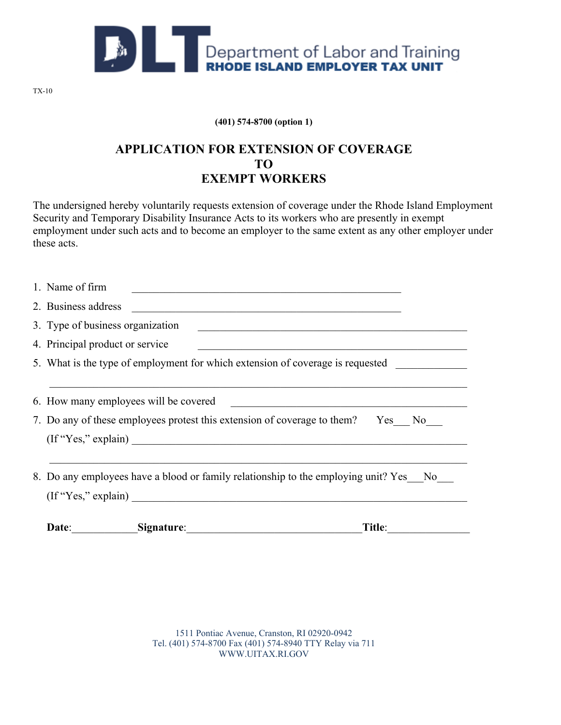

**(401) 574-8700 (option 1)**

## **APPLICATION FOR EXTENSION OF COVERAGE TO EXEMPT WORKERS**

The undersigned hereby voluntarily requests extension of coverage under the Rhode Island Employment Security and Temporary Disability Insurance Acts to its workers who are presently in exempt employment under such acts and to become an employer to the same extent as any other employer under these acts.

| 8. Do any employees have a blood or family relationship to the employing unit? Yes No<br>(If "Yes," explain)                            |
|-----------------------------------------------------------------------------------------------------------------------------------------|
| (If "Yes," explain)                                                                                                                     |
| 7. Do any of these employees protest this extension of coverage to them? Yes No                                                         |
|                                                                                                                                         |
| 5. What is the type of employment for which extension of coverage is requested                                                          |
| 4. Principal product or service                                                                                                         |
| 3. Type of business organization<br><u> 1989 - Johann Barn, fransk politik (d. 1989)</u>                                                |
| 2. Business address                                                                                                                     |
| 1. Name of firm<br><u> 1980 - John Stein, margaret ar yw y cyfan y cyfan y cyfan y gynydd y cyfan y cyfan y cyfan y cyfan y cyfan y</u> |

1511 Pontiac Avenue, Cranston, RI 02920-0942 Tel. (401) 574-8700 Fax (401) 574-8940 TTY Relay via 711 WWW.UITAX.RI.GOV

TX-10